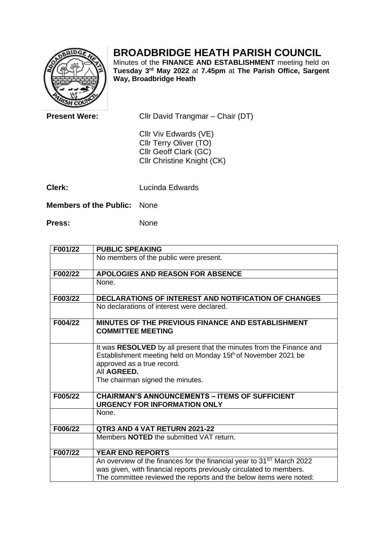## **BROADBRIDGE HEATH PARISH COUNCIL**

Minutes of the **FINANCE AND ESTABLISHMENT** meeting held on **Tuesday 3 rd May 2022** at **7.45pm** at **The Parish Office, Sargent Way, Broadbridge Heath**

| <b>ASH CO</b>                 |                                                                                                               |
|-------------------------------|---------------------------------------------------------------------------------------------------------------|
| <b>Present Were:</b>          | Cllr David Trangmar – Chair (DT)                                                                              |
|                               | Cllr Viv Edwards (VE)<br>Cllr Terry Oliver (TO)<br>Cllr Geoff Clark (GC)<br><b>CIIr Christine Knight (CK)</b> |
| Clerk:                        | Lucinda Edwards                                                                                               |
| <b>Members of the Public:</b> | <b>None</b>                                                                                                   |

Press: None

| F001/22 | <b>PUBLIC SPEAKING</b>                                                                                                                                                                                                 |
|---------|------------------------------------------------------------------------------------------------------------------------------------------------------------------------------------------------------------------------|
|         | No members of the public were present.                                                                                                                                                                                 |
| F002/22 | APOLOGIES AND REASON FOR ABSENCE                                                                                                                                                                                       |
|         | None.                                                                                                                                                                                                                  |
| F003/22 | DECLARATIONS OF INTEREST AND NOTIFICATION OF CHANGES                                                                                                                                                                   |
|         | No declarations of interest were declared.                                                                                                                                                                             |
| F004/22 | MINUTES OF THE PREVIOUS FINANCE AND ESTABLISHMENT<br><b>COMMITTEE MEETING</b>                                                                                                                                          |
|         | It was RESOLVED by all present that the minutes from the Finance and<br>Establishment meeting held on Monday 15th of November 2021 be<br>approved as a true record.<br>All AGREED.<br>The chairman signed the minutes. |
| F005/22 | <b>CHAIRMAN'S ANNOUNCEMENTS - ITEMS OF SUFFICIENT</b><br><b>URGENCY FOR INFORMATION ONLY</b>                                                                                                                           |
|         | None.                                                                                                                                                                                                                  |
| F006/22 | QTR3 AND 4 VAT RETURN 2021-22                                                                                                                                                                                          |
|         | Members <b>NOTED</b> the submitted VAT return.                                                                                                                                                                         |
| F007/22 | <b>YEAR END REPORTS</b>                                                                                                                                                                                                |
|         | An overview of the finances for the financial year to 31 <sup>ST</sup> March 2022                                                                                                                                      |
|         | was given, with financial reports previously circulated to members.                                                                                                                                                    |
|         | The committee reviewed the reports and the below items were noted:                                                                                                                                                     |